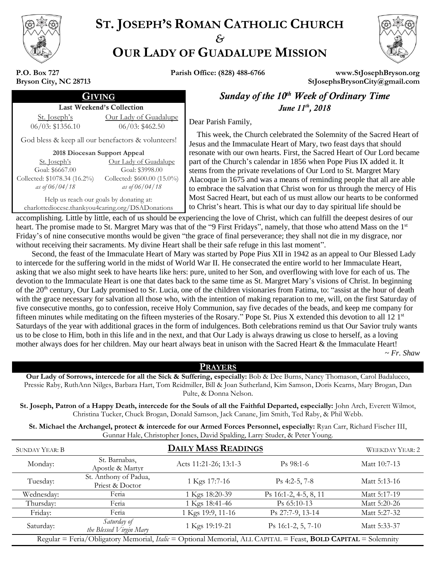

# **ST. JOSEPH'S ROMAN CATHOLIC CHURCH** *&* **OUR LADY OF GUADALUPE MISSION**



**P.O. Box 727 Bryson City, NC 28713**

**Parish Office: (828) 488-6766 www.StJosephBryson.org StJosephsBrysonCity@gmail.com**

#### Last Weekend's Collection

St. Joseph's 06/03: \$1356.10 Our Lady of Guadalupe 06/03: \$462.50

God bless & keep all our benefactors & volunteers!

**2018 Diocesan Support Appeal**

| St. Joseph's                 | <u>Our Lady of Guadalupe</u> |
|------------------------------|------------------------------|
| Goal: \$6667.00              | Goal: \$3998.00              |
| Collected: \$1078.34 (16.2%) | Collected: \$600.00 (15.0%)  |
| as of $06/04/18$             | as of $06/04/18$             |

Help us reach our goals by donating at: charlottediocese.thankyou4caring.org/DSADonations

GIVING *Sunday of the 10th Week of Ordinary Time June 11<sup>th</sup>*, 2018

Dear Parish Family,

 This week, the Church celebrated the Solemnity of the Sacred Heart of Jesus and the Immaculate Heart of Mary, two feast days that should resonate with our own hearts. First, the Sacred Heart of Our Lord became part of the Church's calendar in 1856 when Pope Pius IX added it. It stems from the private revelations of Our Lord to St. Margret Mary Alacoque in 1675 and was a means of reminding people that all are able to embrace the salvation that Christ won for us through the mercy of His Most Sacred Heart, but each of us must allow our hearts to be conformed to Christ's heart. This is what our day to day spiritual life should be

accomplishing. Little by little, each of us should be experiencing the love of Christ, which can fulfill the deepest desires of our heart. The promise made to St. Margret Mary was that of the "9 First Fridays", namely, that those who attend Mass on the 1st Friday's of nine consecutive months would be given "the grace of final perseverance; they shall not die in my disgrace, nor without receiving their sacraments. My divine Heart shall be their safe refuge in this last moment".

 Second, the feast of the Immaculate Heart of Mary was started by Pope Pius XII in 1942 as an appeal to Our Blessed Lady to intercede for the suffering world in the midst of World War II. He consecrated the entire world to her Immaculate Heart, asking that we also might seek to have hearts like hers: pure, united to her Son, and overflowing with love for each of us. The devotion to the Immaculate Heart is one that dates back to the same time as St. Margret Mary's visions of Christ. In beginning of the 20<sup>th</sup> century, Our Lady promised to Sr. Lucia, one of the children visionaries from Fatima, to: "assist at the hour of death with the grace necessary for salvation all those who, with the intention of making reparation to me, will, on the first Saturday of five consecutive months, go to confession, receive Holy Communion, say five decades of the beads, and keep me company for fifteen minutes while meditating on the fifteen mysteries of the Rosary." Pope St. Pius X extended this devotion to all 12 1st Saturdays of the year with additional graces in the form of indulgences. Both celebrations remind us that Our Savior truly wants us to be close to Him, both in this life and in the next, and that Our Lady is always drawing us close to herself, as a loving mother always does for her children. May our heart always beat in unison with the Sacred Heart & the Immaculate Heart!

~ *Fr. Shaw*

## **PRAYERS**

**Our Lady of Sorrows, intercede for all the Sick & Suffering, especially:** Bob & Dee Burns, Nancy Thomason, Carol Badalucco, Pressie Raby, RuthAnn Nilges, Barbara Hart, Tom Reidmiller, Bill & Joan Sutherland, Kim Samson, Doris Kearns, Mary Brogan, Dan Pulte, & Donna Nelson.

**St. Joseph, Patron of a Happy Death, intercede for the Souls of all the Faithful Departed, especially:** John Arch, Everett Wilmot, Christina Tucker, Chuck Brogan, Donald Samson, Jack Canane, Jim Smith, Ted Raby, & Phil Webb.

**St. Michael the Archangel, protect & intercede for our Armed Forces Personnel, especially:** Ryan Carr, Richard Fischer III, Gunnar Hale, Christopher Jones, David Spalding, Larry Studer, & Peter Young.

| <b>SUNDAY YEAR: B</b>                                                                                          | <b>DAILY MASS READINGS</b>               |                       |                          | <b>WEEKDAY YEAR: 2</b> |
|----------------------------------------------------------------------------------------------------------------|------------------------------------------|-----------------------|--------------------------|------------------------|
| Monday:                                                                                                        | St. Barnabas,<br>Apostle & Martyr        | Acts 11:21-26; 13:1-3 | $Ps$ 98:1-6              | Matt 10:7-13           |
| Tuesday:                                                                                                       | St. Anthony of Padua,<br>Priest & Doctor | 1 Kgs 17:7-16         | $\mathrm{Ps}$ 4:2-5, 7-8 | Matt 5:13-16           |
| Wednesday:                                                                                                     | Feria                                    | 1 Kgs 18:20-39        | Ps 16:1-2, 4-5, 8, 11    | Matt 5:17-19           |
| Thursday:                                                                                                      | Feria                                    | 1 Kgs 18:41-46        | $Ps$ 65:10-13            | Matt 5:20-26           |
| Friday:                                                                                                        | Feria                                    | 1 Kgs 19:9, 11-16     | Ps 27:7-9, 13-14         | Matt 5:27-32           |
| Saturday:                                                                                                      | Saturday of<br>the Blessed Virgin Mary   | 1 Kgs 19:19-21        | $Ps$ 16:1-2, 5, 7-10     | Matt 5:33-37           |
| Regular = Feria/Obligatory Memorial, Italic = Optional Memorial, ALL CAPITAL = Feast, BOLD CAPITAL = Solemnity |                                          |                       |                          |                        |